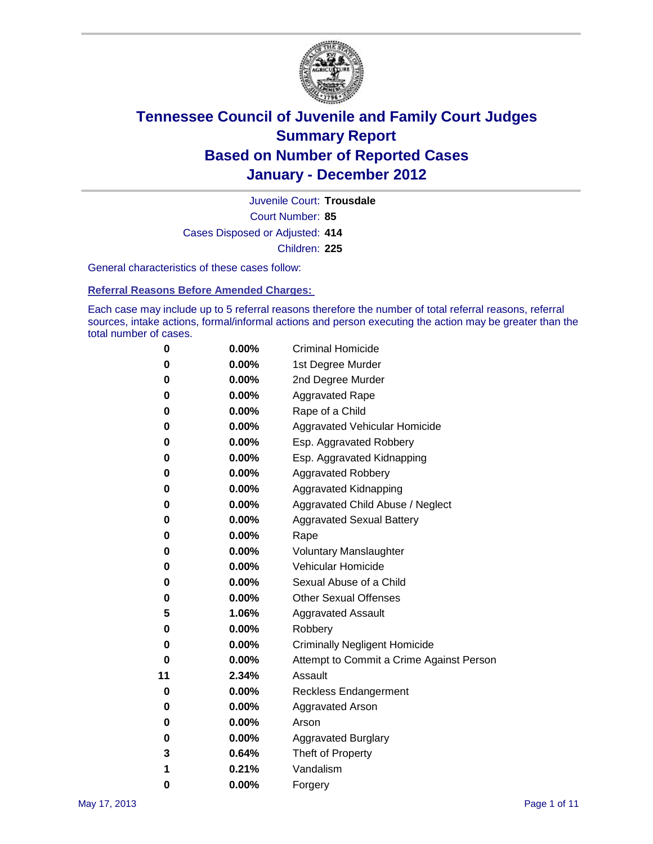

Court Number: **85** Juvenile Court: **Trousdale** Cases Disposed or Adjusted: **414** Children: **225**

General characteristics of these cases follow:

**Referral Reasons Before Amended Charges:** 

Each case may include up to 5 referral reasons therefore the number of total referral reasons, referral sources, intake actions, formal/informal actions and person executing the action may be greater than the total number of cases.

| 0  | 0.00% | <b>Criminal Homicide</b>                 |
|----|-------|------------------------------------------|
| 0  | 0.00% | 1st Degree Murder                        |
| 0  | 0.00% | 2nd Degree Murder                        |
| 0  | 0.00% | <b>Aggravated Rape</b>                   |
| 0  | 0.00% | Rape of a Child                          |
| 0  | 0.00% | Aggravated Vehicular Homicide            |
| 0  | 0.00% | Esp. Aggravated Robbery                  |
| 0  | 0.00% | Esp. Aggravated Kidnapping               |
| 0  | 0.00% | <b>Aggravated Robbery</b>                |
| 0  | 0.00% | Aggravated Kidnapping                    |
| 0  | 0.00% | Aggravated Child Abuse / Neglect         |
| 0  | 0.00% | <b>Aggravated Sexual Battery</b>         |
| 0  | 0.00% | Rape                                     |
| 0  | 0.00% | <b>Voluntary Manslaughter</b>            |
| 0  | 0.00% | Vehicular Homicide                       |
| 0  | 0.00% | Sexual Abuse of a Child                  |
| 0  | 0.00% | <b>Other Sexual Offenses</b>             |
| 5  | 1.06% | <b>Aggravated Assault</b>                |
| 0  | 0.00% | Robbery                                  |
| 0  | 0.00% | <b>Criminally Negligent Homicide</b>     |
| 0  | 0.00% | Attempt to Commit a Crime Against Person |
| 11 | 2.34% | Assault                                  |
| 0  | 0.00% | <b>Reckless Endangerment</b>             |
| 0  | 0.00% | <b>Aggravated Arson</b>                  |
| 0  | 0.00% | Arson                                    |
| 0  | 0.00% | <b>Aggravated Burglary</b>               |
| 3  | 0.64% | Theft of Property                        |
| 1  | 0.21% | Vandalism                                |
| 0  | 0.00% | Forgery                                  |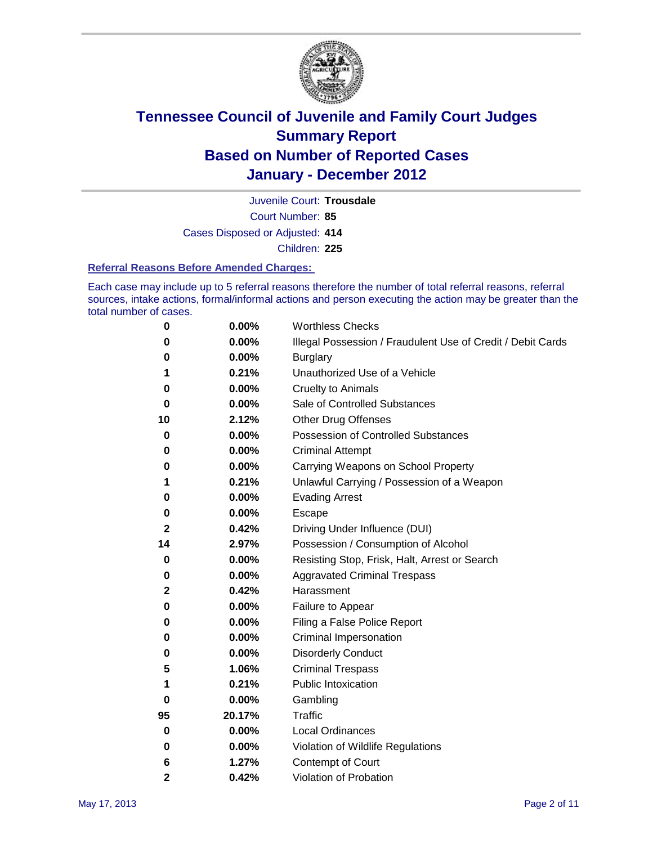

Court Number: **85** Juvenile Court: **Trousdale** Cases Disposed or Adjusted: **414**

Children: **225**

#### **Referral Reasons Before Amended Charges:**

Each case may include up to 5 referral reasons therefore the number of total referral reasons, referral sources, intake actions, formal/informal actions and person executing the action may be greater than the total number of cases.

| 0            | 0.00%  | <b>Worthless Checks</b>                                     |
|--------------|--------|-------------------------------------------------------------|
| 0            | 0.00%  | Illegal Possession / Fraudulent Use of Credit / Debit Cards |
| 0            | 0.00%  | <b>Burglary</b>                                             |
| 1            | 0.21%  | Unauthorized Use of a Vehicle                               |
| 0            | 0.00%  | <b>Cruelty to Animals</b>                                   |
| 0            | 0.00%  | Sale of Controlled Substances                               |
| 10           | 2.12%  | <b>Other Drug Offenses</b>                                  |
| 0            | 0.00%  | Possession of Controlled Substances                         |
| 0            | 0.00%  | <b>Criminal Attempt</b>                                     |
| 0            | 0.00%  | Carrying Weapons on School Property                         |
| 1            | 0.21%  | Unlawful Carrying / Possession of a Weapon                  |
| 0            | 0.00%  | <b>Evading Arrest</b>                                       |
| 0            | 0.00%  | Escape                                                      |
| 2            | 0.42%  | Driving Under Influence (DUI)                               |
| 14           | 2.97%  | Possession / Consumption of Alcohol                         |
| 0            | 0.00%  | Resisting Stop, Frisk, Halt, Arrest or Search               |
| 0            | 0.00%  | <b>Aggravated Criminal Trespass</b>                         |
| 2            | 0.42%  | Harassment                                                  |
| 0            | 0.00%  | Failure to Appear                                           |
| 0            | 0.00%  | Filing a False Police Report                                |
| 0            | 0.00%  | Criminal Impersonation                                      |
| 0            | 0.00%  | <b>Disorderly Conduct</b>                                   |
| 5            | 1.06%  | <b>Criminal Trespass</b>                                    |
| 1            | 0.21%  | <b>Public Intoxication</b>                                  |
| 0            | 0.00%  | Gambling                                                    |
| 95           | 20.17% | Traffic                                                     |
| 0            | 0.00%  | <b>Local Ordinances</b>                                     |
| 0            | 0.00%  | Violation of Wildlife Regulations                           |
| 6            | 1.27%  | Contempt of Court                                           |
| $\mathbf{2}$ | 0.42%  | Violation of Probation                                      |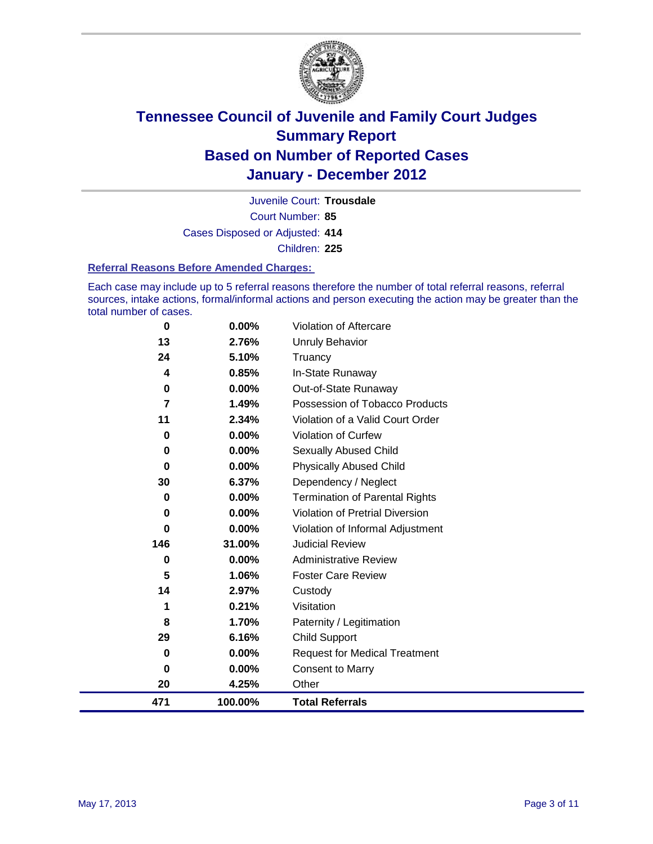

Court Number: **85** Juvenile Court: **Trousdale** Cases Disposed or Adjusted: **414** Children: **225**

#### **Referral Reasons Before Amended Charges:**

Each case may include up to 5 referral reasons therefore the number of total referral reasons, referral sources, intake actions, formal/informal actions and person executing the action may be greater than the total number of cases.

| 0           | 0.00%    | Violation of Aftercare                 |
|-------------|----------|----------------------------------------|
| 13          | 2.76%    | Unruly Behavior                        |
| 24          | 5.10%    | Truancy                                |
| 4           | 0.85%    | In-State Runaway                       |
| $\mathbf 0$ | 0.00%    | Out-of-State Runaway                   |
| 7           | 1.49%    | Possession of Tobacco Products         |
| 11          | 2.34%    | Violation of a Valid Court Order       |
| 0           | 0.00%    | Violation of Curfew                    |
| 0           | $0.00\%$ | Sexually Abused Child                  |
| 0           | 0.00%    | <b>Physically Abused Child</b>         |
| 30          | 6.37%    | Dependency / Neglect                   |
| 0           | 0.00%    | <b>Termination of Parental Rights</b>  |
| 0           | 0.00%    | <b>Violation of Pretrial Diversion</b> |
| 0           | 0.00%    | Violation of Informal Adjustment       |
| 146         | 31.00%   | <b>Judicial Review</b>                 |
| 0           | $0.00\%$ | <b>Administrative Review</b>           |
| 5           | 1.06%    | <b>Foster Care Review</b>              |
| 14          | 2.97%    | Custody                                |
| 1           | 0.21%    | Visitation                             |
| 8           | 1.70%    | Paternity / Legitimation               |
| 29          | 6.16%    | <b>Child Support</b>                   |
| $\bf{0}$    | 0.00%    | <b>Request for Medical Treatment</b>   |
| 0           | 0.00%    | <b>Consent to Marry</b>                |
| 20          | 4.25%    | Other                                  |
| 471         | 100.00%  | <b>Total Referrals</b>                 |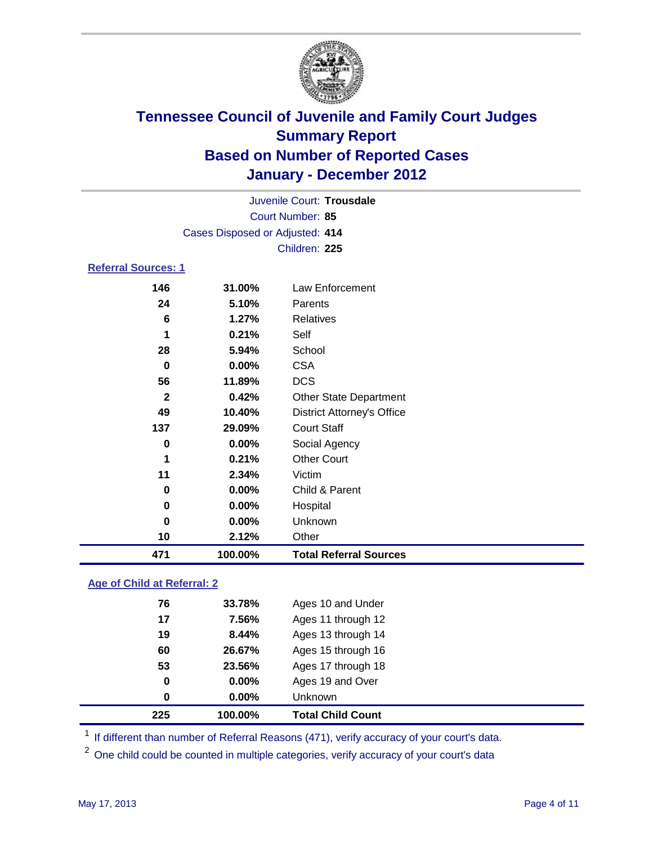

|                            |                                 | Juvenile Court: Trousdale         |  |  |  |
|----------------------------|---------------------------------|-----------------------------------|--|--|--|
| Court Number: 85           |                                 |                                   |  |  |  |
|                            | Cases Disposed or Adjusted: 414 |                                   |  |  |  |
|                            |                                 | Children: 225                     |  |  |  |
| <b>Referral Sources: 1</b> |                                 |                                   |  |  |  |
| 146                        | 31.00%                          | Law Enforcement                   |  |  |  |
| 24                         | 5.10%                           | Parents                           |  |  |  |
| 6                          | 1.27%                           | Relatives                         |  |  |  |
| 1                          | 0.21%                           | Self                              |  |  |  |
| 28                         | 5.94%                           | School                            |  |  |  |
| $\bf{0}$                   | $0.00\%$                        | <b>CSA</b>                        |  |  |  |
| 56                         | 11.89%                          | <b>DCS</b>                        |  |  |  |
| $\mathbf{2}$               | 0.42%                           | <b>Other State Department</b>     |  |  |  |
| 49                         | 10.40%                          | <b>District Attorney's Office</b> |  |  |  |
| 137                        | 29.09%                          | <b>Court Staff</b>                |  |  |  |
| 0                          | 0.00%                           | Social Agency                     |  |  |  |
| 1                          | 0.21%                           | <b>Other Court</b>                |  |  |  |
| 11                         | 2.34%                           | Victim                            |  |  |  |
| 0                          | 0.00%                           | Child & Parent                    |  |  |  |
| 0                          | $0.00\%$                        | Hospital                          |  |  |  |
| 0                          | $0.00\%$                        | Unknown                           |  |  |  |

### **Age of Child at Referral: 2**

**2.12%** Other

**100.00% Total Referral Sources**

| 225 | 100.00%  | <b>Total Child Count</b> |
|-----|----------|--------------------------|
| 0   | $0.00\%$ | <b>Unknown</b>           |
| 0   | $0.00\%$ | Ages 19 and Over         |
| 53  | 23.56%   | Ages 17 through 18       |
| 60  | 26.67%   | Ages 15 through 16       |
| 19  | 8.44%    | Ages 13 through 14       |
| 17  | 7.56%    | Ages 11 through 12       |
| 76  | 33.78%   | Ages 10 and Under        |
|     |          |                          |

<sup>1</sup> If different than number of Referral Reasons (471), verify accuracy of your court's data.

<sup>2</sup> One child could be counted in multiple categories, verify accuracy of your court's data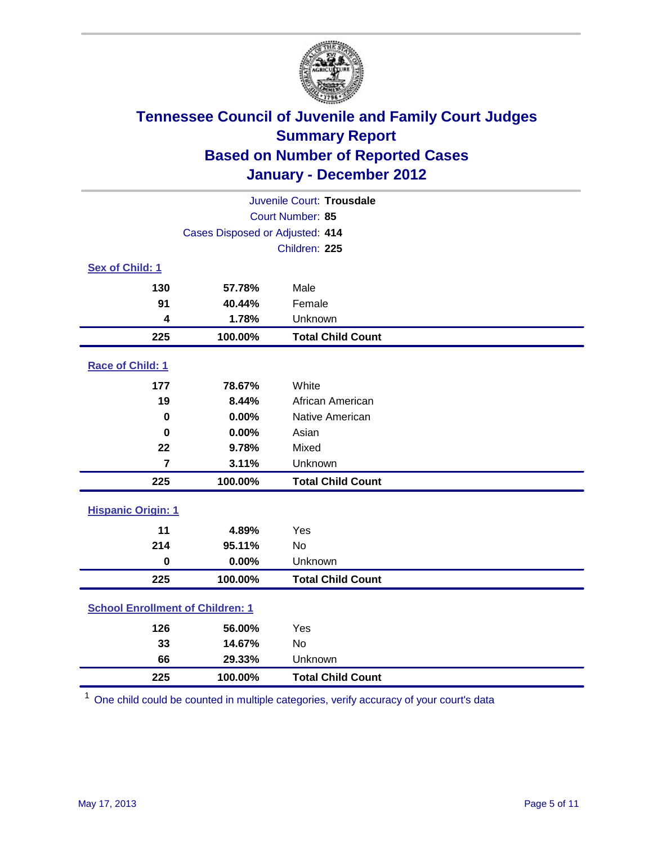

| Juvenile Court: Trousdale               |                                 |                          |  |  |  |
|-----------------------------------------|---------------------------------|--------------------------|--|--|--|
| Court Number: 85                        |                                 |                          |  |  |  |
|                                         | Cases Disposed or Adjusted: 414 |                          |  |  |  |
|                                         | Children: 225                   |                          |  |  |  |
| Sex of Child: 1                         |                                 |                          |  |  |  |
| 130                                     | 57.78%                          | Male                     |  |  |  |
| 91                                      | 40.44%                          | Female                   |  |  |  |
| 4                                       | 1.78%                           | Unknown                  |  |  |  |
| 225                                     | 100.00%                         | <b>Total Child Count</b> |  |  |  |
| Race of Child: 1                        |                                 |                          |  |  |  |
| 177                                     | 78.67%                          | White                    |  |  |  |
| 19                                      | 8.44%                           | African American         |  |  |  |
| $\mathbf 0$                             | 0.00%                           | Native American          |  |  |  |
| $\mathbf 0$                             | 0.00%                           | Asian                    |  |  |  |
| 22                                      | 9.78%                           | Mixed                    |  |  |  |
| $\overline{7}$                          | 3.11%                           | Unknown                  |  |  |  |
| 225                                     | 100.00%                         | <b>Total Child Count</b> |  |  |  |
| <b>Hispanic Origin: 1</b>               |                                 |                          |  |  |  |
| 11                                      | 4.89%                           | Yes                      |  |  |  |
| 214                                     | 95.11%                          | <b>No</b>                |  |  |  |
| $\mathbf 0$                             | 0.00%                           | Unknown                  |  |  |  |
| 225                                     | 100.00%                         | <b>Total Child Count</b> |  |  |  |
| <b>School Enrollment of Children: 1</b> |                                 |                          |  |  |  |
| 126                                     | 56.00%                          | Yes                      |  |  |  |
| 33                                      | 14.67%                          | No                       |  |  |  |
| 66                                      | 29.33%                          | Unknown                  |  |  |  |
| 225                                     | 100.00%                         | <b>Total Child Count</b> |  |  |  |

One child could be counted in multiple categories, verify accuracy of your court's data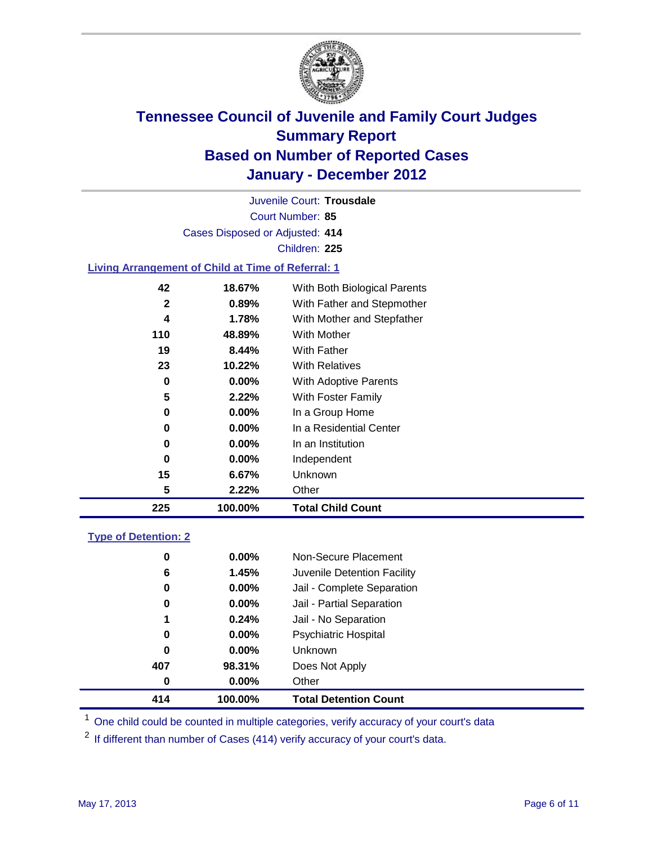

Court Number: **85** Juvenile Court: **Trousdale** Cases Disposed or Adjusted: **414** Children: **225 Living Arrangement of Child at Time of Referral: 1 18.67%** With Both Biological Parents **0.89%** With Father and Stepmother

| 225 | 100.00%  | <b>Total Child Count</b>   |
|-----|----------|----------------------------|
| 5   | 2.22%    | Other                      |
| 15  | 6.67%    | Unknown                    |
| 0   | $0.00\%$ | Independent                |
| 0   | $0.00\%$ | In an Institution          |
| 0   | $0.00\%$ | In a Residential Center    |
| 0   | $0.00\%$ | In a Group Home            |
| 5   | 2.22%    | With Foster Family         |
| 0   | $0.00\%$ | With Adoptive Parents      |
| 23  | 10.22%   | <b>With Relatives</b>      |
| 19  | 8.44%    | With Father                |
| 110 | 48.89%   | With Mother                |
| 4   | 1.78%    | With Mother and Stepfather |
|     |          |                            |

### **Type of Detention: 2**

| 414 | 100.00%       | <b>Total Detention Count</b> |
|-----|---------------|------------------------------|
|     | 0.00%<br>0    | Other                        |
| 407 | 98.31%        | Does Not Apply               |
| 0   | $0.00\%$      | Unknown                      |
|     | $0.00\%$<br>0 | Psychiatric Hospital         |
| 1   | 0.24%         | Jail - No Separation         |
|     | 0<br>$0.00\%$ | Jail - Partial Separation    |
|     | $0.00\%$<br>0 | Jail - Complete Separation   |
|     | 1.45%<br>6    | Juvenile Detention Facility  |
|     | $0.00\%$<br>0 | Non-Secure Placement         |
|     |               |                              |

<sup>1</sup> One child could be counted in multiple categories, verify accuracy of your court's data

<sup>2</sup> If different than number of Cases (414) verify accuracy of your court's data.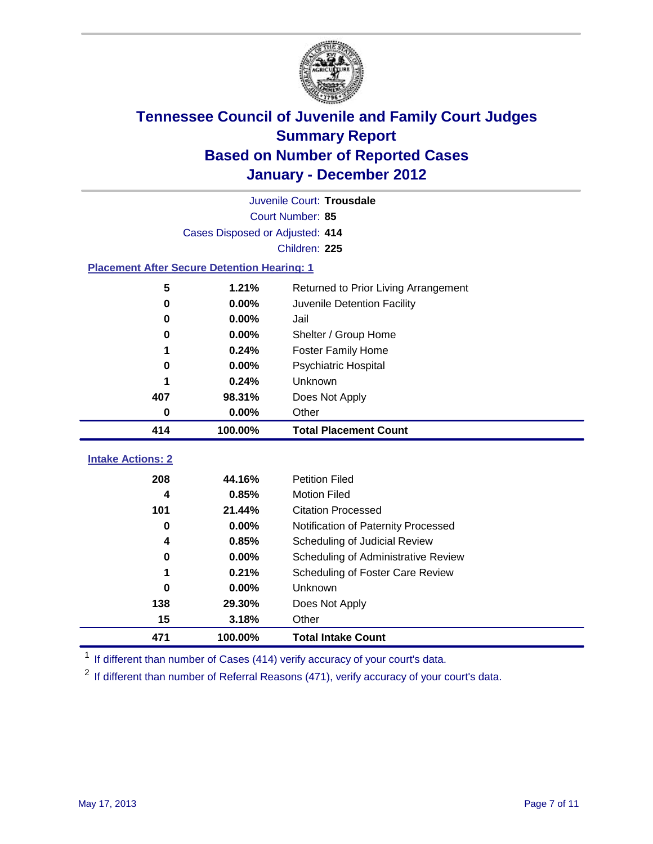

| Juvenile Court: Trousdale       |                                                    |                                      |  |  |  |
|---------------------------------|----------------------------------------------------|--------------------------------------|--|--|--|
|                                 | Court Number: 85                                   |                                      |  |  |  |
|                                 | Cases Disposed or Adjusted: 414                    |                                      |  |  |  |
|                                 | Children: 225                                      |                                      |  |  |  |
|                                 | <b>Placement After Secure Detention Hearing: 1</b> |                                      |  |  |  |
| 5                               | 1.21%                                              | Returned to Prior Living Arrangement |  |  |  |
| 0                               | 0.00%                                              | Juvenile Detention Facility          |  |  |  |
| 0                               | 0.00%                                              | Jail                                 |  |  |  |
| 0                               | 0.00%                                              | Shelter / Group Home                 |  |  |  |
| 1                               | 0.24%                                              | <b>Foster Family Home</b>            |  |  |  |
| 0                               | 0.00%                                              | Psychiatric Hospital                 |  |  |  |
|                                 | 0.24%                                              | Unknown                              |  |  |  |
| 407                             | 98.31%                                             | Does Not Apply                       |  |  |  |
| 0                               | 0.00%                                              | Other                                |  |  |  |
|                                 |                                                    |                                      |  |  |  |
| 414                             | 100.00%                                            | <b>Total Placement Count</b>         |  |  |  |
|                                 |                                                    |                                      |  |  |  |
| <b>Intake Actions: 2</b><br>208 | 44.16%                                             | <b>Petition Filed</b>                |  |  |  |
| 4                               | 0.85%                                              | <b>Motion Filed</b>                  |  |  |  |
| 101                             | 21.44%                                             | <b>Citation Processed</b>            |  |  |  |
| 0                               | 0.00%                                              | Notification of Paternity Processed  |  |  |  |
| 4                               | 0.85%                                              | Scheduling of Judicial Review        |  |  |  |
| 0                               | 0.00%                                              | Scheduling of Administrative Review  |  |  |  |
|                                 | 0.21%                                              | Scheduling of Foster Care Review     |  |  |  |
| $\bf{0}$                        | 0.00%                                              | Unknown                              |  |  |  |
| 138                             | 29.30%                                             | Does Not Apply                       |  |  |  |
| 15                              | 3.18%                                              | Other                                |  |  |  |

<sup>1</sup> If different than number of Cases (414) verify accuracy of your court's data.

<sup>2</sup> If different than number of Referral Reasons (471), verify accuracy of your court's data.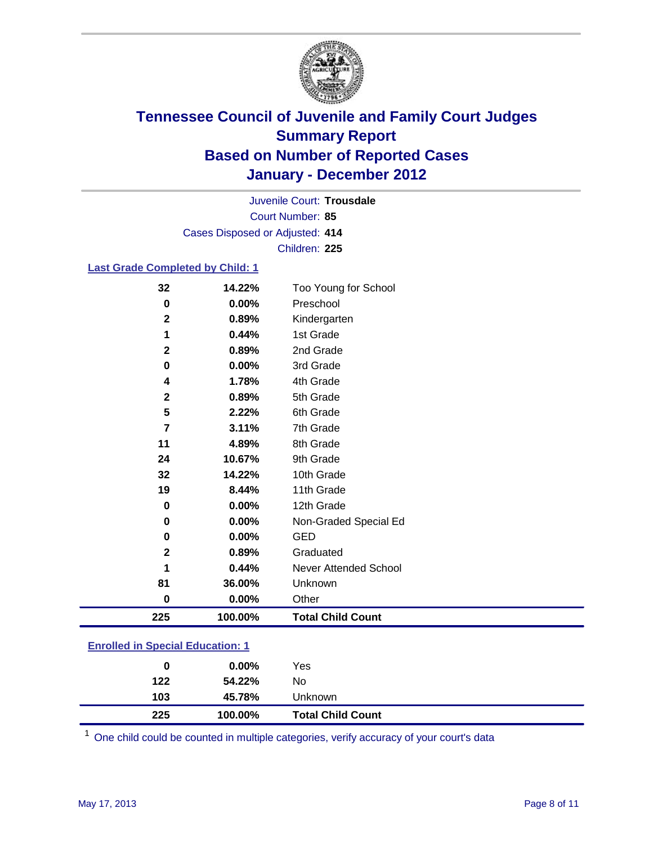

Court Number: **85** Juvenile Court: **Trousdale** Cases Disposed or Adjusted: **414** Children: **225**

#### **Last Grade Completed by Child: 1**

| 32                                      | 14.22%   | Too Young for School         |
|-----------------------------------------|----------|------------------------------|
| 0                                       | $0.00\%$ | Preschool                    |
| $\mathbf 2$                             | 0.89%    | Kindergarten                 |
| 1                                       | 0.44%    | 1st Grade                    |
| $\mathbf{2}$                            | 0.89%    | 2nd Grade                    |
| $\pmb{0}$                               | 0.00%    | 3rd Grade                    |
| 4                                       | 1.78%    | 4th Grade                    |
| 2                                       | 0.89%    | 5th Grade                    |
| 5                                       | 2.22%    | 6th Grade                    |
| $\overline{\mathbf{r}}$                 | 3.11%    | 7th Grade                    |
| 11                                      | 4.89%    | 8th Grade                    |
| 24                                      | 10.67%   | 9th Grade                    |
| 32                                      | 14.22%   | 10th Grade                   |
| 19                                      | 8.44%    | 11th Grade                   |
| $\pmb{0}$                               | 0.00%    | 12th Grade                   |
| 0                                       | 0.00%    | Non-Graded Special Ed        |
| 0                                       | 0.00%    | <b>GED</b>                   |
| $\mathbf 2$                             | 0.89%    | Graduated                    |
| 1                                       | 0.44%    | <b>Never Attended School</b> |
| 81                                      | 36.00%   | Unknown                      |
| 0                                       | $0.00\%$ | Other                        |
| 225                                     | 100.00%  | <b>Total Child Count</b>     |
| <b>Enrolled in Special Education: 1</b> |          |                              |

| 225                                      | 100.00%  | <b>Total Child Count</b> |
|------------------------------------------|----------|--------------------------|
| 103                                      | 45.78%   | Unknown                  |
| 122                                      | 54.22%   | No                       |
| 0                                        | $0.00\%$ | Yes                      |
| <u>Einvilled in Opecial Education. T</u> |          |                          |

One child could be counted in multiple categories, verify accuracy of your court's data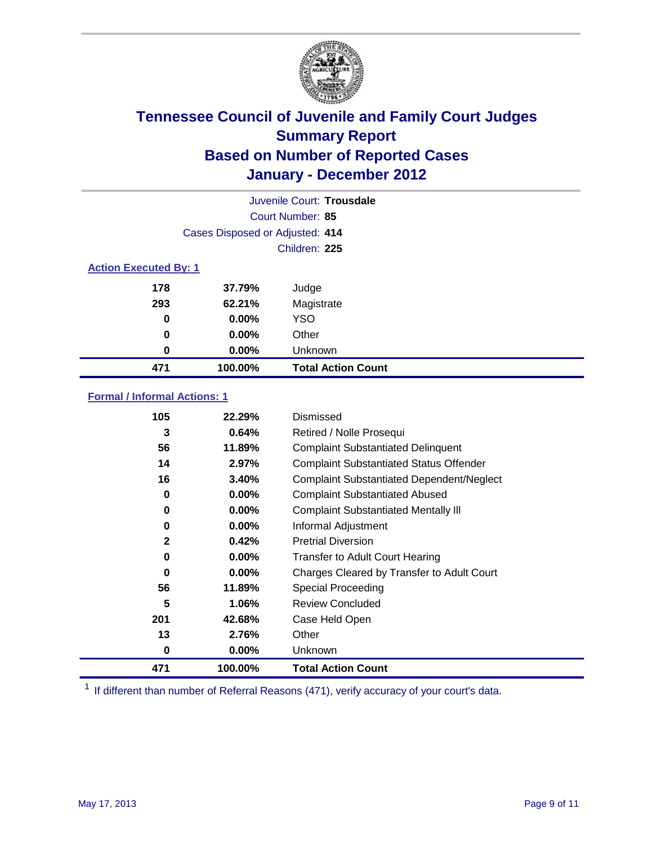

| Juvenile Court: Trousdale    |                                 |                           |  |  |
|------------------------------|---------------------------------|---------------------------|--|--|
|                              | Court Number: 85                |                           |  |  |
|                              | Cases Disposed or Adjusted: 414 |                           |  |  |
|                              | Children: 225                   |                           |  |  |
| <b>Action Executed By: 1</b> |                                 |                           |  |  |
| 178                          | 37.79%                          | Judge                     |  |  |
| 293                          | 62.21%                          | Magistrate                |  |  |
| 0                            | $0.00\%$                        | <b>YSO</b>                |  |  |
| $\bf{0}$                     | 0.00%                           | Other                     |  |  |
| 0                            | 0.00%                           | Unknown                   |  |  |
| 471                          | 100.00%                         | <b>Total Action Count</b> |  |  |

### **Formal / Informal Actions: 1**

| 105          | 22.29%   | Dismissed                                        |
|--------------|----------|--------------------------------------------------|
| 3            | 0.64%    | Retired / Nolle Prosequi                         |
| 56           | 11.89%   | <b>Complaint Substantiated Delinquent</b>        |
| 14           | 2.97%    | <b>Complaint Substantiated Status Offender</b>   |
| 16           | 3.40%    | <b>Complaint Substantiated Dependent/Neglect</b> |
| 0            | 0.00%    | <b>Complaint Substantiated Abused</b>            |
| 0            | $0.00\%$ | <b>Complaint Substantiated Mentally III</b>      |
| 0            | $0.00\%$ | Informal Adjustment                              |
| $\mathbf{2}$ | 0.42%    | <b>Pretrial Diversion</b>                        |
| 0            | $0.00\%$ | <b>Transfer to Adult Court Hearing</b>           |
| 0            | $0.00\%$ | Charges Cleared by Transfer to Adult Court       |
| 56           | 11.89%   | Special Proceeding                               |
| 5            | 1.06%    | <b>Review Concluded</b>                          |
| 201          | 42.68%   | Case Held Open                                   |
| 13           | 2.76%    | Other                                            |
| 0            | $0.00\%$ | <b>Unknown</b>                                   |
| 471          | 100.00%  | <b>Total Action Count</b>                        |

<sup>1</sup> If different than number of Referral Reasons (471), verify accuracy of your court's data.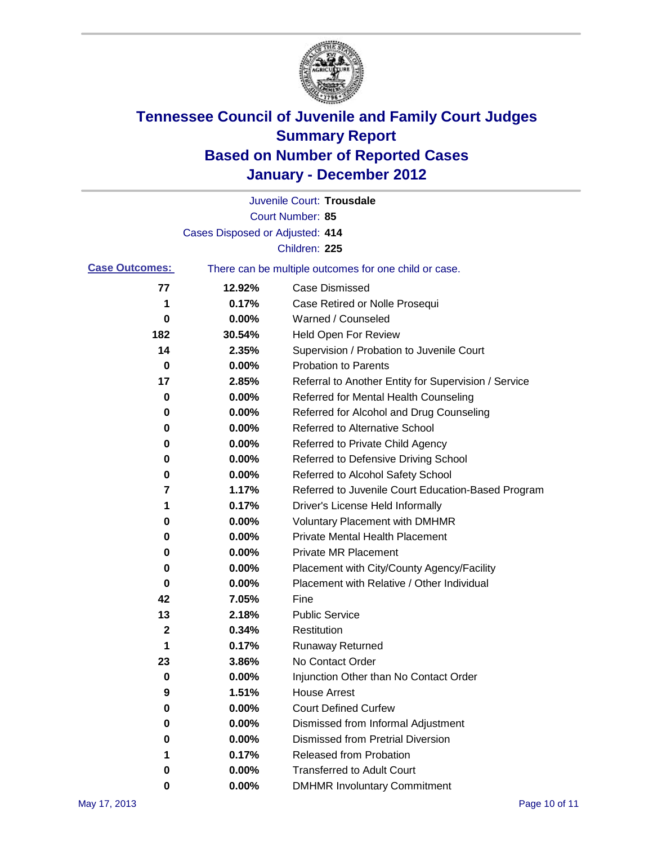

|                       |                                 | Juvenile Court: Trousdale                             |
|-----------------------|---------------------------------|-------------------------------------------------------|
|                       |                                 | Court Number: 85                                      |
|                       | Cases Disposed or Adjusted: 414 |                                                       |
|                       |                                 | Children: 225                                         |
| <b>Case Outcomes:</b> |                                 | There can be multiple outcomes for one child or case. |
| 77                    | 12.92%                          | <b>Case Dismissed</b>                                 |
| 1                     | 0.17%                           | Case Retired or Nolle Prosequi                        |
| 0                     | 0.00%                           | Warned / Counseled                                    |
| 182                   | 30.54%                          | Held Open For Review                                  |
| 14                    | 2.35%                           | Supervision / Probation to Juvenile Court             |
| 0                     | 0.00%                           | <b>Probation to Parents</b>                           |
| 17                    | 2.85%                           | Referral to Another Entity for Supervision / Service  |
| 0                     | 0.00%                           | Referred for Mental Health Counseling                 |
| 0                     | 0.00%                           | Referred for Alcohol and Drug Counseling              |
| 0                     | 0.00%                           | Referred to Alternative School                        |
| 0                     | 0.00%                           | Referred to Private Child Agency                      |
| 0                     | 0.00%                           | Referred to Defensive Driving School                  |
| 0                     | 0.00%                           | Referred to Alcohol Safety School                     |
| 7                     | 1.17%                           | Referred to Juvenile Court Education-Based Program    |
| 1                     | 0.17%                           | Driver's License Held Informally                      |
| 0                     | 0.00%                           | <b>Voluntary Placement with DMHMR</b>                 |
| 0                     | 0.00%                           | <b>Private Mental Health Placement</b>                |
| 0                     | 0.00%                           | <b>Private MR Placement</b>                           |
| 0                     | 0.00%                           | Placement with City/County Agency/Facility            |
| 0                     | 0.00%                           | Placement with Relative / Other Individual            |
| 42                    | 7.05%                           | Fine                                                  |
| 13                    | 2.18%                           | <b>Public Service</b>                                 |
| 2                     | 0.34%                           | Restitution                                           |
| 1                     | 0.17%                           | <b>Runaway Returned</b>                               |
| 23                    | 3.86%                           | No Contact Order                                      |
| 0                     | $0.00\%$                        | Injunction Other than No Contact Order                |
| 9                     | 1.51%                           | <b>House Arrest</b>                                   |
| 0                     | 0.00%                           | <b>Court Defined Curfew</b>                           |
| 0                     | 0.00%                           | Dismissed from Informal Adjustment                    |
| 0                     | 0.00%                           | <b>Dismissed from Pretrial Diversion</b>              |
| 1                     | 0.17%                           | <b>Released from Probation</b>                        |
| 0                     | 0.00%                           | <b>Transferred to Adult Court</b>                     |
| 0                     | $0.00\%$                        | <b>DMHMR Involuntary Commitment</b>                   |